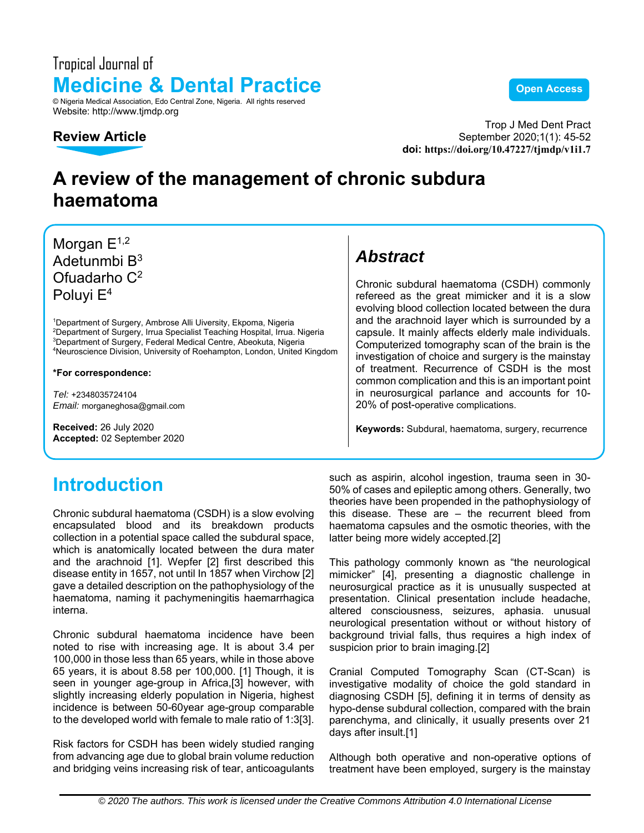### Tropical Journal of **Medicine & Dental Practice Computer Computer Service Copen Access** © Nigeria Medical Association, Edo Central Zone, Nigeria. All rights reserved Website: http://www.tjmdp.org



Trop J Med Dent Pract September 2020;1(1): 45-52 **doi: https://doi.org/10.47227/tjmdp/v1i1.7**

## **A review of the management of chronic subdura haematoma**

Morgan  $E^{1,2}$ Adetunmbi B $^3$ Ofuadarho C2 Poluyi E4

1 Department of Surgery, Ambrose Alli Uiversity, Ekpoma, Nigeria <sup>2</sup>Department of Surgery, Irrua Specialist Teaching Hospital, Irrua. Nigeria.<br><sup>3</sup>Department of Surgery, Eederal Medical Centre, Abeokuta, Nigeria. <sup>3</sup>Department of Surgery, Federal Medical Centre, Abeokuta, Nigeria Neuroscience Division, University of Roehampton, London, United Kingdom

**\*For correspondence:** 

*Tel:* +2348035724104 *Email:* morganeghosa@gmail.com

**Received:** 26 July 2020 **Accepted:** 02 September 2020

## **Introduction**

Chronic subdural haematoma (CSDH) is a slow evolving encapsulated blood and its breakdown products collection in a potential space called the subdural space, which is anatomically located between the dura mater and the arachnoid [1]. Wepfer [2] first described this disease entity in 1657, not until In 1857 when Virchow [2] gave a detailed description on the pathophysiology of the haematoma, naming it pachymeningitis haemarrhagica interna.

Chronic subdural haematoma incidence have been noted to rise with increasing age. It is about 3.4 per 100,000 in those less than 65 years, while in those above 65 years, it is about 8.58 per 100,000. [1] Though, it is seen in younger age-group in Africa,[3] however, with slightly increasing elderly population in Nigeria, highest incidence is between 50-60year age-group comparable to the developed world with female to male ratio of 1:3[3].

Risk factors for CSDH has been widely studied ranging from advancing age due to global brain volume reduction and bridging veins increasing risk of tear, anticoagulants

### *Abstract*

Chronic subdural haematoma (CSDH) commonly refereed as the great mimicker and it is a slow evolving blood collection located between the dura and the arachnoid layer which is surrounded by a capsule. It mainly affects elderly male individuals. Computerized tomography scan of the brain is the investigation of choice and surgery is the mainstay of treatment. Recurrence of CSDH is the most common complication and this is an important point in neurosurgical parlance and accounts for 10- 20% of post-operative complications.

**Keywords:** Subdural, haematoma, surgery, recurrence

such as aspirin, alcohol ingestion, trauma seen in 30- 50% of cases and epileptic among others. Generally, two theories have been propended in the pathophysiology of this disease. These are – the recurrent bleed from haematoma capsules and the osmotic theories, with the latter being more widely accepted.[2]

This pathology commonly known as "the neurological mimicker" [4], presenting a diagnostic challenge in neurosurgical practice as it is unusually suspected at presentation. Clinical presentation include headache, altered consciousness, seizures, aphasia. unusual neurological presentation without or without history of background trivial falls, thus requires a high index of suspicion prior to brain imaging.[2]

Cranial Computed Tomography Scan (CT-Scan) is investigative modality of choice the gold standard in diagnosing CSDH [5], defining it in terms of density as hypo-dense subdural collection, compared with the brain parenchyma, and clinically, it usually presents over 21 days after insult.[1]

Although both operative and non-operative options of treatment have been employed, surgery is the mainstay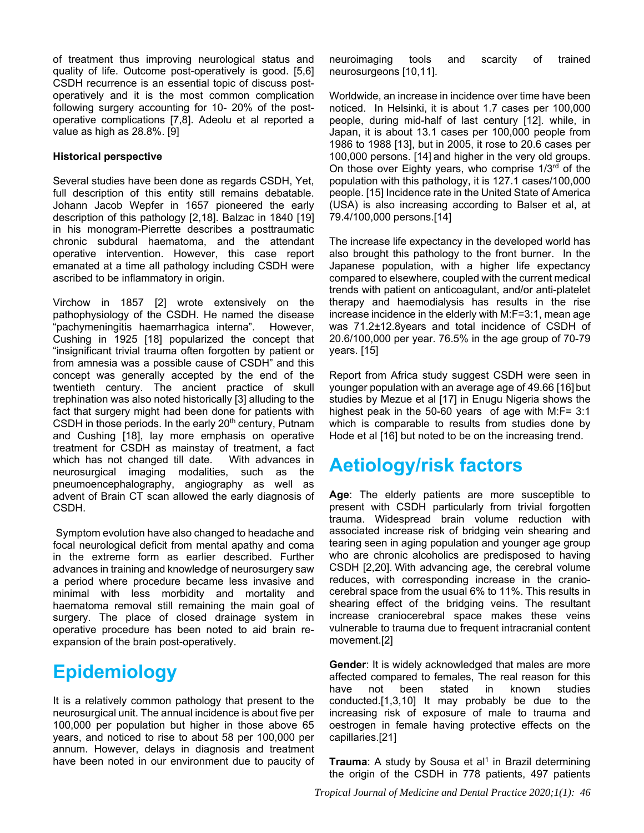of treatment thus improving neurological status and quality of life. Outcome post-operatively is good. [5,6] CSDH recurrence is an essential topic of discuss postoperatively and it is the most common complication following surgery accounting for 10- 20% of the postoperative complications [7,8]. Adeolu et al reported a value as high as 28.8%. [9]

#### **Historical perspective**

Several studies have been done as regards CSDH, Yet, full description of this entity still remains debatable. Johann Jacob Wepfer in 1657 pioneered the early description of this pathology [2,18]. Balzac in 1840 [19] in his monogram-Pierrette describes a posttraumatic chronic subdural haematoma, and the attendant operative intervention. However, this case report emanated at a time all pathology including CSDH were ascribed to be inflammatory in origin.

Virchow in 1857 [2] wrote extensively on the pathophysiology of the CSDH. He named the disease "pachymeningitis haemarrhagica interna". However, Cushing in 1925 [18] popularized the concept that "insignificant trivial trauma often forgotten by patient or from amnesia was a possible cause of CSDH" and this concept was generally accepted by the end of the twentieth century. The ancient practice of skull trephination was also noted historically [3] alluding to the fact that surgery might had been done for patients with CSDH in those periods. In the early  $20<sup>th</sup>$  century, Putnam and Cushing [18], lay more emphasis on operative treatment for CSDH as mainstay of treatment, a fact which has not changed till date. With advances in neurosurgical imaging modalities, such as the pneumoencephalography, angiography as well as advent of Brain CT scan allowed the early diagnosis of CSDH.

 Symptom evolution have also changed to headache and focal neurological deficit from mental apathy and coma in the extreme form as earlier described. Further advances in training and knowledge of neurosurgery saw a period where procedure became less invasive and minimal with less morbidity and mortality and haematoma removal still remaining the main goal of surgery. The place of closed drainage system in operative procedure has been noted to aid brain reexpansion of the brain post-operatively.

### **Epidemiology**

It is a relatively common pathology that present to the neurosurgical unit. The annual incidence is about five per 100,000 per population but higher in those above 65 years, and noticed to rise to about 58 per 100,000 per annum. However, delays in diagnosis and treatment have been noted in our environment due to paucity of neuroimaging tools and scarcity of trained neurosurgeons [10,11].

Worldwide, an increase in incidence over time have been noticed. In Helsinki, it is about 1.7 cases per 100,000 people, during mid-half of last century [12]. while, in Japan, it is about 13.1 cases per 100,000 people from 1986 to 1988 [13], but in 2005, it rose to 20.6 cases per 100,000 persons. [14] and higher in the very old groups. On those over Eighty years, who comprise 1/3<sup>rd</sup> of the population with this pathology, it is 127.1 cases/100,000 people. [15] Incidence rate in the United State of America (USA) is also increasing according to Balser et al, at 79.4/100,000 persons.[14]

The increase life expectancy in the developed world has also brought this pathology to the front burner. In the Japanese population, with a higher life expectancy compared to elsewhere, coupled with the current medical trends with patient on anticoagulant, and/or anti-platelet therapy and haemodialysis has results in the rise increase incidence in the elderly with M:F=3:1, mean age was 71.2±12.8years and total incidence of CSDH of 20.6/100,000 per year. 76.5% in the age group of 70-79 years. [15]

Report from Africa study suggest CSDH were seen in younger population with an average age of 49.66 [16] but studies by Mezue et al [17] in Enugu Nigeria shows the highest peak in the 50-60 years of age with M:F= 3:1 which is comparable to results from studies done by Hode et al [16] but noted to be on the increasing trend.

### **Aetiology/risk factors**

**Age**: The elderly patients are more susceptible to present with CSDH particularly from trivial forgotten trauma. Widespread brain volume reduction with associated increase risk of bridging vein shearing and tearing seen in aging population and younger age group who are chronic alcoholics are predisposed to having CSDH [2,20]. With advancing age, the cerebral volume reduces, with corresponding increase in the craniocerebral space from the usual 6% to 11%. This results in shearing effect of the bridging veins. The resultant increase craniocerebral space makes these veins vulnerable to trauma due to frequent intracranial content movement.[2]

**Gender**: It is widely acknowledged that males are more affected compared to females, The real reason for this have not been stated in known studies conducted.[1,3,10] It may probably be due to the increasing risk of exposure of male to trauma and oestrogen in female having protective effects on the capillaries.[21]

**Trauma**: A study by Sousa et al<sup>1</sup> in Brazil determining the origin of the CSDH in 778 patients, 497 patients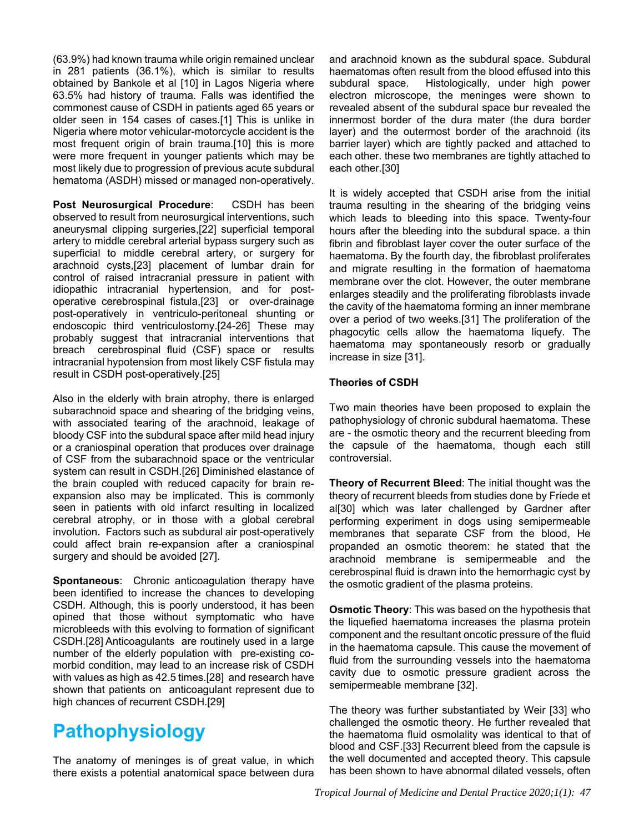(63.9%) had known trauma while origin remained unclear in 281 patients (36.1%), which is similar to results obtained by Bankole et al [10] in Lagos Nigeria where 63.5% had history of trauma. Falls was identified the commonest cause of CSDH in patients aged 65 years or older seen in 154 cases of cases.[1] This is unlike in Nigeria where motor vehicular-motorcycle accident is the most frequent origin of brain trauma.[10] this is more were more frequent in younger patients which may be most likely due to progression of previous acute subdural hematoma (ASDH) missed or managed non-operatively.

**Post Neurosurgical Procedure**: CSDH has been observed to result from neurosurgical interventions, such aneurysmal clipping surgeries,[22] superficial temporal artery to middle cerebral arterial bypass surgery such as superficial to middle cerebral artery, or surgery for arachnoid cysts,[23] placement of lumbar drain for control of raised intracranial pressure in patient with idiopathic intracranial hypertension, and for postoperative cerebrospinal fistula,[23] or over-drainage post-operatively in ventriculo-peritoneal shunting or endoscopic third ventriculostomy.[24-26] These may probably suggest that intracranial interventions that breach cerebrospinal fluid (CSF) space or results intracranial hypotension from most likely CSF fistula may result in CSDH post-operatively.[25]

Also in the elderly with brain atrophy, there is enlarged subarachnoid space and shearing of the bridging veins, with associated tearing of the arachnoid, leakage of bloody CSF into the subdural space after mild head injury or a craniospinal operation that produces over drainage of CSF from the subarachnoid space or the ventricular system can result in CSDH.[26] Diminished elastance of the brain coupled with reduced capacity for brain reexpansion also may be implicated. This is commonly seen in patients with old infarct resulting in localized cerebral atrophy, or in those with a global cerebral involution. Factors such as subdural air post-operatively could affect brain re-expansion after a craniospinal surgery and should be avoided [27].

**Spontaneous**: Chronic anticoagulation therapy have been identified to increase the chances to developing CSDH. Although, this is poorly understood, it has been opined that those without symptomatic who have microbleeds with this evolving to formation of significant CSDH.[28] Anticoagulants are routinely used in a large number of the elderly population with pre-existing comorbid condition, may lead to an increase risk of CSDH with values as high as 42.5 times.[28] and research have shown that patients on anticoagulant represent due to high chances of recurrent CSDH.[29]

# **Pathophysiology**

The anatomy of meninges is of great value, in which there exists a potential anatomical space between dura and arachnoid known as the subdural space. Subdural haematomas often result from the blood effused into this subdural space. Histologically, under high power electron microscope, the meninges were shown to revealed absent of the subdural space bur revealed the innermost border of the dura mater (the dura border layer) and the outermost border of the arachnoid (its barrier layer) which are tightly packed and attached to each other. these two membranes are tightly attached to each other.[30]

It is widely accepted that CSDH arise from the initial trauma resulting in the shearing of the bridging veins which leads to bleeding into this space. Twenty-four hours after the bleeding into the subdural space. a thin fibrin and fibroblast layer cover the outer surface of the haematoma. By the fourth day, the fibroblast proliferates and migrate resulting in the formation of haematoma membrane over the clot. However, the outer membrane enlarges steadily and the proliferating fibroblasts invade the cavity of the haematoma forming an inner membrane over a period of two weeks.[31] The proliferation of the phagocytic cells allow the haematoma liquefy. The haematoma may spontaneously resorb or gradually increase in size [31].

#### **Theories of CSDH**

Two main theories have been proposed to explain the pathophysiology of chronic subdural haematoma. These are - the osmotic theory and the recurrent bleeding from the capsule of the haematoma, though each still controversial.

**Theory of Recurrent Bleed**: The initial thought was the theory of recurrent bleeds from studies done by Friede et al[30] which was later challenged by Gardner after performing experiment in dogs using semipermeable membranes that separate CSF from the blood, He propanded an osmotic theorem: he stated that the arachnoid membrane is semipermeable and the cerebrospinal fluid is drawn into the hemorrhagic cyst by the osmotic gradient of the plasma proteins.

**Osmotic Theory**: This was based on the hypothesis that the liquefied haematoma increases the plasma protein component and the resultant oncotic pressure of the fluid in the haematoma capsule. This cause the movement of fluid from the surrounding vessels into the haematoma cavity due to osmotic pressure gradient across the semipermeable membrane [32].

The theory was further substantiated by Weir [33] who challenged the osmotic theory. He further revealed that the haematoma fluid osmolality was identical to that of blood and CSF.[33] Recurrent bleed from the capsule is the well documented and accepted theory. This capsule has been shown to have abnormal dilated vessels, often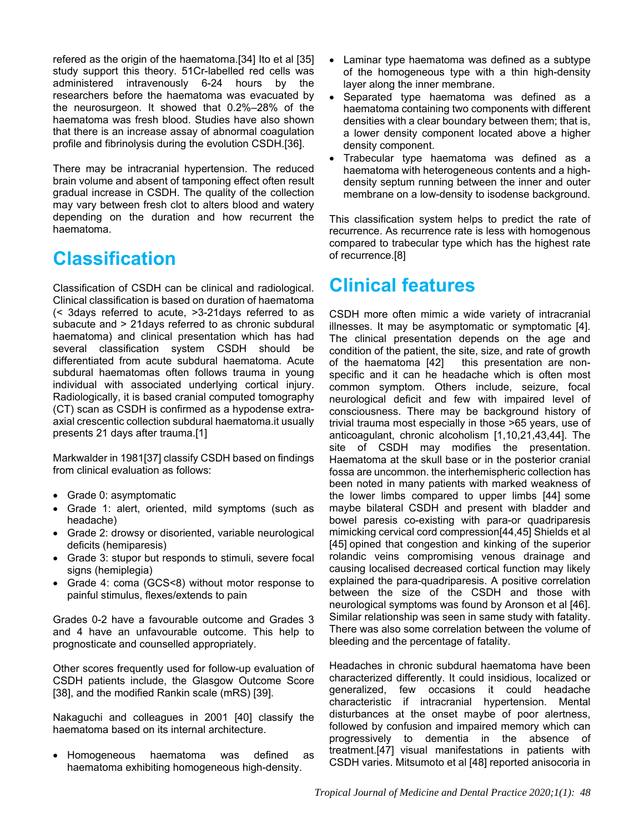refered as the origin of the haematoma.[34] Ito et al [35] study support this theory. 51Cr-labelled red cells was administered intravenously 6-24 hours by the researchers before the haematoma was evacuated by the neurosurgeon. It showed that 0.2%–28% of the haematoma was fresh blood. Studies have also shown that there is an increase assay of abnormal coagulation profile and fibrinolysis during the evolution CSDH.[36].

There may be intracranial hypertension. The reduced brain volume and absent of tamponing effect often result gradual increase in CSDH. The quality of the collection may vary between fresh clot to alters blood and watery depending on the duration and how recurrent the haematoma.

## **Classification**

Classification of CSDH can be clinical and radiological. Clinical classification is based on duration of haematoma (< 3days referred to acute, >3-21days referred to as subacute and > 21days referred to as chronic subdural haematoma) and clinical presentation which has had several classification system CSDH should be differentiated from acute subdural haematoma. Acute subdural haematomas often follows trauma in young individual with associated underlying cortical injury. Radiologically, it is based cranial computed tomography (CT) scan as CSDH is confirmed as a hypodense extraaxial crescentic collection subdural haematoma.it usually presents 21 days after trauma.[1]

Markwalder in 1981[37] classify CSDH based on findings from clinical evaluation as follows:

- Grade 0: asymptomatic
- Grade 1: alert, oriented, mild symptoms (such as headache)
- Grade 2: drowsy or disoriented, variable neurological deficits (hemiparesis)
- Grade 3: stupor but responds to stimuli, severe focal signs (hemiplegia)
- Grade 4: coma (GCS<8) without motor response to painful stimulus, flexes/extends to pain

Grades 0-2 have a favourable outcome and Grades 3 and 4 have an unfavourable outcome. This help to prognosticate and counselled appropriately.

Other scores frequently used for follow-up evaluation of CSDH patients include, the Glasgow Outcome Score [38], and the modified Rankin scale (mRS) [39].

Nakaguchi and colleagues in 2001 [40] classify the haematoma based on its internal architecture.

 Homogeneous haematoma was defined as haematoma exhibiting homogeneous high-density.

- Laminar type haematoma was defined as a subtype of the homogeneous type with a thin high-density layer along the inner membrane.
- Separated type haematoma was defined as a haematoma containing two components with different densities with a clear boundary between them; that is, a lower density component located above a higher density component.
- Trabecular type haematoma was defined as a haematoma with heterogeneous contents and a highdensity septum running between the inner and outer membrane on a low-density to isodense background.

This classification system helps to predict the rate of recurrence. As recurrence rate is less with homogenous compared to trabecular type which has the highest rate of recurrence.[8]

## **Clinical features**

CSDH more often mimic a wide variety of intracranial illnesses. It may be asymptomatic or symptomatic [4]. The clinical presentation depends on the age and condition of the patient, the site, size, and rate of growth of the haematoma [42] this presentation are nonspecific and it can he headache which is often most common symptom. Others include, seizure, focal neurological deficit and few with impaired level of consciousness. There may be background history of trivial trauma most especially in those >65 years, use of anticoagulant, chronic alcoholism [1,10,21,43,44]. The site of CSDH may modifies the presentation. Haematoma at the skull base or in the posterior cranial fossa are uncommon. the interhemispheric collection has been noted in many patients with marked weakness of the lower limbs compared to upper limbs [44] some maybe bilateral CSDH and present with bladder and bowel paresis co-existing with para-or quadriparesis mimicking cervical cord compression[44,45] Shields et al [45] opined that congestion and kinking of the superior rolandic veins compromising venous drainage and causing localised decreased cortical function may likely explained the para-quadriparesis. A positive correlation between the size of the CSDH and those with neurological symptoms was found by Aronson et al [46]. Similar relationship was seen in same study with fatality. There was also some correlation between the volume of bleeding and the percentage of fatality.

Headaches in chronic subdural haematoma have been characterized differently. It could insidious, localized or generalized, few occasions it could headache characteristic if intracranial hypertension. Mental disturbances at the onset maybe of poor alertness, followed by confusion and impaired memory which can progressively to dementia in the absence of treatment.[47] visual manifestations in patients with CSDH varies. Mitsumoto et al [48] reported anisocoria in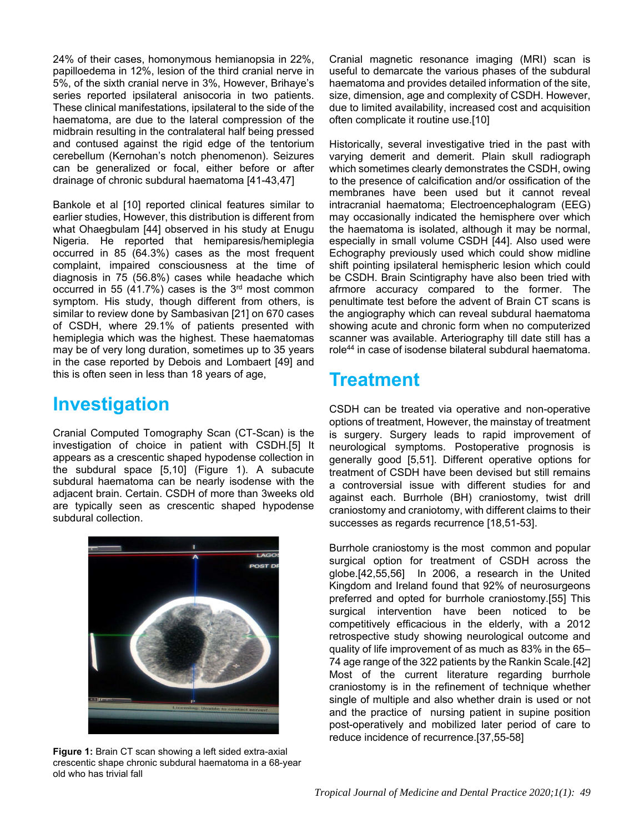24% of their cases, homonymous hemianopsia in 22%, papilloedema in 12%, lesion of the third cranial nerve in 5%, of the sixth cranial nerve in 3%, However, Brihaye's series reported ipsilateral anisocoria in two patients. These clinical manifestations, ipsilateral to the side of the haematoma, are due to the lateral compression of the midbrain resulting in the contralateral half being pressed and contused against the rigid edge of the tentorium cerebellum (Kernohan's notch phenomenon). Seizures can be generalized or focal, either before or after drainage of chronic subdural haematoma [41-43,47]

Bankole et al [10] reported clinical features similar to earlier studies, However, this distribution is different from what Ohaegbulam [44] observed in his study at Enugu Nigeria. He reported that hemiparesis/hemiplegia occurred in 85 (64.3%) cases as the most frequent complaint, impaired consciousness at the time of diagnosis in 75 (56.8%) cases while headache which occurred in 55 (41.7%) cases is the  $3<sup>rd</sup>$  most common symptom. His study, though different from others, is similar to review done by Sambasivan [21] on 670 cases of CSDH, where 29.1% of patients presented with hemiplegia which was the highest. These haematomas may be of very long duration, sometimes up to 35 years in the case reported by Debois and Lombaert [49] and this is often seen in less than 18 years of age,

### **Investigation**

Cranial Computed Tomography Scan (CT-Scan) is the investigation of choice in patient with CSDH.[5] It appears as a crescentic shaped hypodense collection in the subdural space [5,10] (Figure 1). A subacute subdural haematoma can be nearly isodense with the adjacent brain. Certain. CSDH of more than 3weeks old are typically seen as crescentic shaped hypodense subdural collection.



**Figure 1:** Brain CT scan showing a left sided extra-axial crescentic shape chronic subdural haematoma in a 68-year old who has trivial fall

Cranial magnetic resonance imaging (MRI) scan is useful to demarcate the various phases of the subdural haematoma and provides detailed information of the site, size, dimension, age and complexity of CSDH. However, due to limited availability, increased cost and acquisition often complicate it routine use.[10]

Historically, several investigative tried in the past with varying demerit and demerit. Plain skull radiograph which sometimes clearly demonstrates the CSDH, owing to the presence of calcification and/or ossification of the membranes have been used but it cannot reveal intracranial haematoma; Electroencephalogram (EEG) may occasionally indicated the hemisphere over which the haematoma is isolated, although it may be normal, especially in small volume CSDH [44]. Also used were Echography previously used which could show midline shift pointing ipsilateral hemispheric lesion which could be CSDH. Brain Scintigraphy have also been tried with afrmore accuracy compared to the former. The penultimate test before the advent of Brain CT scans is the angiography which can reveal subdural haematoma showing acute and chronic form when no computerized scanner was available. Arteriography till date still has a role44 in case of isodense bilateral subdural haematoma.

### **Treatment**

CSDH can be treated via operative and non-operative options of treatment, However, the mainstay of treatment is surgery. Surgery leads to rapid improvement of neurological symptoms. Postoperative prognosis is generally good [5,51]. Different operative options for treatment of CSDH have been devised but still remains a controversial issue with different studies for and against each. Burrhole (BH) craniostomy, twist drill craniostomy and craniotomy, with different claims to their successes as regards recurrence [18,51-53].

Burrhole craniostomy is the most common and popular surgical option for treatment of CSDH across the globe.[42,55,56] In 2006, a research in the United Kingdom and Ireland found that 92% of neurosurgeons preferred and opted for burrhole craniostomy.[55] This surgical intervention have been noticed to be competitively efficacious in the elderly, with a 2012 retrospective study showing neurological outcome and quality of life improvement of as much as 83% in the 65– 74 age range of the 322 patients by the Rankin Scale.[42] Most of the current literature regarding burrhole craniostomy is in the refinement of technique whether single of multiple and also whether drain is used or not and the practice of nursing patient in supine position post-operatively and mobilized later period of care to reduce incidence of recurrence.[37,55-58]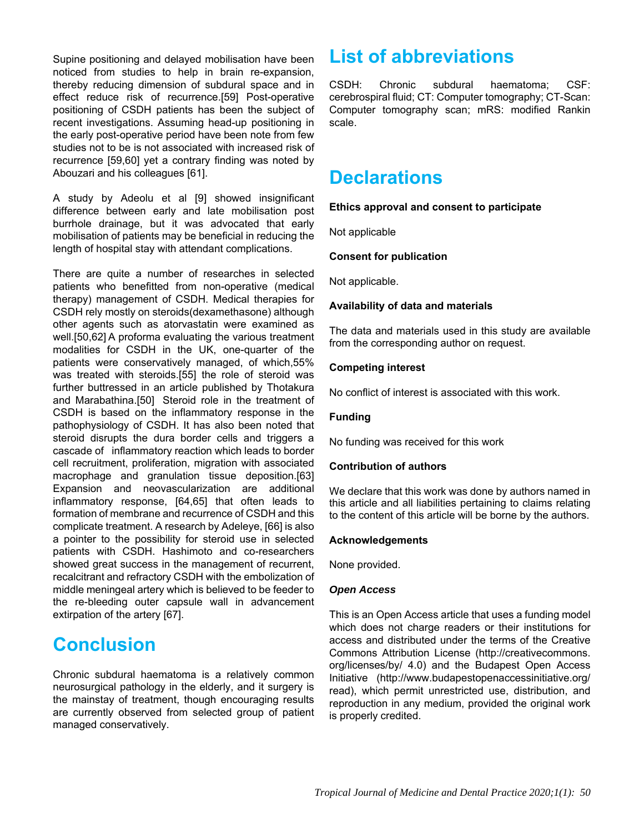Supine positioning and delayed mobilisation have been noticed from studies to help in brain re-expansion, thereby reducing dimension of subdural space and in effect reduce risk of recurrence.[59] Post-operative positioning of CSDH patients has been the subject of recent investigations. Assuming head-up positioning in the early post-operative period have been note from few studies not to be is not associated with increased risk of recurrence [59,60] yet a contrary finding was noted by Abouzari and his colleagues [61].

A study by Adeolu et al [9] showed insignificant difference between early and late mobilisation post burrhole drainage, but it was advocated that early mobilisation of patients may be beneficial in reducing the length of hospital stay with attendant complications.

There are quite a number of researches in selected patients who benefitted from non-operative (medical therapy) management of CSDH. Medical therapies for CSDH rely mostly on steroids(dexamethasone) although other agents such as atorvastatin were examined as well.[50,62] A proforma evaluating the various treatment modalities for CSDH in the UK, one-quarter of the patients were conservatively managed, of which,55% was treated with steroids.[55] the role of steroid was further buttressed in an article published by Thotakura and Marabathina.[50] Steroid role in the treatment of CSDH is based on the inflammatory response in the pathophysiology of CSDH. It has also been noted that steroid disrupts the dura border cells and triggers a cascade of inflammatory reaction which leads to border cell recruitment, proliferation, migration with associated macrophage and granulation tissue deposition.[63] Expansion and neovascularization are additional inflammatory response, [64,65] that often leads to formation of membrane and recurrence of CSDH and this complicate treatment. A research by Adeleye, [66] is also a pointer to the possibility for steroid use in selected patients with CSDH. Hashimoto and co-researchers showed great success in the management of recurrent, recalcitrant and refractory CSDH with the embolization of middle meningeal artery which is believed to be feeder to the re-bleeding outer capsule wall in advancement extirpation of the artery [67].

### **Conclusion**

Chronic subdural haematoma is a relatively common neurosurgical pathology in the elderly, and it surgery is the mainstay of treatment, though encouraging results are currently observed from selected group of patient managed conservatively.

## **List of abbreviations**

CSDH: Chronic subdural haematoma; CSF: cerebrospiral fluid; CT: Computer tomography; CT-Scan: Computer tomography scan; mRS: modified Rankin scale.

### **Declarations**

### **Ethics approval and consent to participate**

Not applicable

#### **Consent for publication**

Not applicable.

#### **Availability of data and materials**

The data and materials used in this study are available from the corresponding author on request.

### **Competing interest**

No conflict of interest is associated with this work.

#### **Funding**

No funding was received for this work

#### **Contribution of authors**

We declare that this work was done by authors named in this article and all liabilities pertaining to claims relating to the content of this article will be borne by the authors.

#### **Acknowledgements**

None provided.

#### *Open Access*

This is an Open Access article that uses a funding model which does not charge readers or their institutions for access and distributed under the terms of the Creative Commons Attribution License (http://creativecommons. org/licenses/by/ 4.0) and the Budapest Open Access Initiative (http://www.budapestopenaccessinitiative.org/ read), which permit unrestricted use, distribution, and reproduction in any medium, provided the original work is properly credited.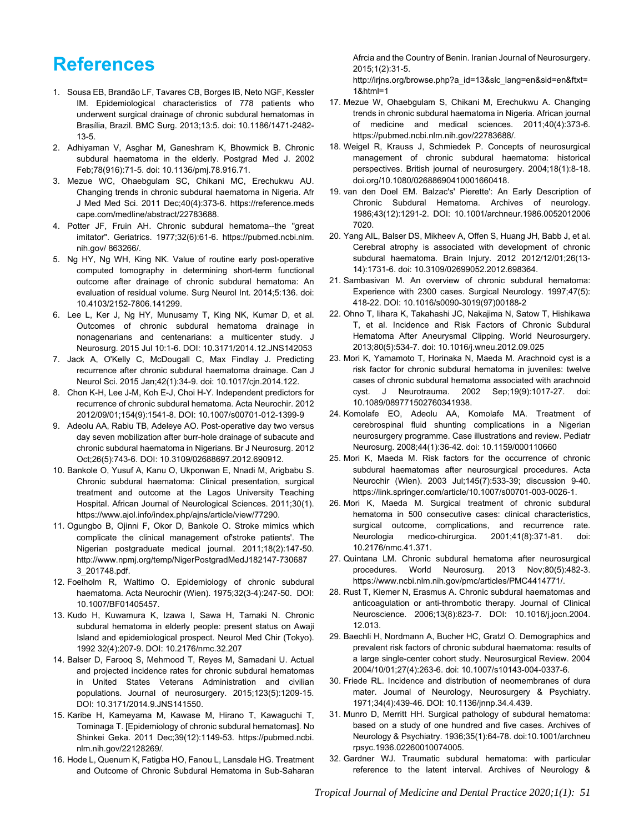## **References**

- 1. Sousa EB, Brandão LF, Tavares CB, Borges IB, Neto NGF, Kessler IM. Epidemiological characteristics of 778 patients who underwent surgical drainage of chronic subdural hematomas in Brasília, Brazil. BMC Surg. 2013;13:5. doi: 10.1186/1471-2482- 13-5.
- 2. Adhiyaman V, Asghar M, Ganeshram K, Bhowmick B. Chronic subdural haematoma in the elderly. Postgrad Med J. 2002 Feb;78(916):71-5. doi: 10.1136/pmj.78.916.71.
- 3. Mezue WC, Ohaebgulam SC, Chikani MC, Erechukwu AU. Changing trends in chronic subdural haematoma in Nigeria. Afr J Med Med Sci. 2011 Dec;40(4):373-6. https://reference.meds cape.com/medline/abstract/22783688.
- 4. Potter JF, Fruin AH. Chronic subdural hematoma--the "great imitator". Geriatrics. 1977;32(6):61-6. https://pubmed.ncbi.nlm. nih.gov/ 863266/.
- 5. Ng HY, Ng WH, King NK. Value of routine early post-operative computed tomography in determining short-term functional outcome after drainage of chronic subdural hematoma: An evaluation of residual volume. Surg Neurol Int. 2014;5:136. doi: 10.4103/2152-7806.141299.
- 6. Lee L, Ker J, Ng HY, Munusamy T, King NK, Kumar D, et al. Outcomes of chronic subdural hematoma drainage in nonagenarians and centenarians: a multicenter study. J Neurosurg. 2015 Jul 10:1-6. DOI: 10.3171/2014.12.JNS142053
- 7. Jack A, O'Kelly C, McDougall C, Max Findlay J. Predicting recurrence after chronic subdural haematoma drainage. Can J Neurol Sci. 2015 Jan;42(1):34-9. doi: 10.1017/cjn.2014.122.
- 8. Chon K-H, Lee J-M, Koh E-J, Choi H-Y. Independent predictors for recurrence of chronic subdural hematoma. Acta Neurochir. 2012 2012/09/01;154(9):1541-8. DOI: 10.1007/s00701-012-1399-9
- 9. Adeolu AA, Rabiu TB, Adeleye AO. Post-operative day two versus day seven mobilization after burr-hole drainage of subacute and chronic subdural haematoma in Nigerians. Br J Neurosurg. 2012 Oct;26(5):743-6. DOI: 10.3109/02688697.2012.690912.
- 10. Bankole O, Yusuf A, Kanu O, Ukponwan E, Nnadi M, Arigbabu S. Chronic subdural haematoma: Clinical presentation, surgical treatment and outcome at the Lagos University Teaching Hospital. African Journal of Neurological Sciences. 2011;30(1). https://www.ajol.info/index.php/ajns/article/view/77290.
- 11. Ogungbo B, Ojinni F, Okor D, Bankole O. Stroke mimics which complicate the clinical management of'stroke patients'. The Nigerian postgraduate medical journal. 2011;18(2):147-50. http://www.npmj.org/temp/NigerPostgradMedJ182147-730687 3\_201748.pdf.
- 12. Foelholm R, Waltimo O. Epidemiology of chronic subdural haematoma. Acta Neurochir (Wien). 1975;32(3-4):247-50. DOI: 10.1007/BF01405457.
- 13. Kudo H, Kuwamura K, Izawa I, Sawa H, Tamaki N. Chronic subdural hematoma in elderly people: present status on Awaji Island and epidemiological prospect. Neurol Med Chir (Tokyo). 1992 32(4):207-9. DOI: 10.2176/nmc.32.207
- 14. Balser D, Farooq S, Mehmood T, Reyes M, Samadani U. Actual and projected incidence rates for chronic subdural hematomas in United States Veterans Administration and civilian populations. Journal of neurosurgery. 2015;123(5):1209-15. DOI: 10.3171/2014.9.JNS141550.
- 15. Karibe H, Kameyama M, Kawase M, Hirano T, Kawaguchi T, Tominaga T. [Epidemiology of chronic subdural hematomas]. No Shinkei Geka. 2011 Dec;39(12):1149-53. https://pubmed.ncbi. nlm.nih.gov/22128269/.
- 16. Hode L, Quenum K, Fatigba HO, Fanou L, Lansdale HG. Treatment and Outcome of Chronic Subdural Hematoma in Sub-Saharan

Afrcia and the Country of Benin. Iranian Journal of Neurosurgery. 2015;1(2):31-5.

http://irjns.org/browse.php?a\_id=13&slc\_lang=en&sid=en&ftxt= 1&html=1

- 17. Mezue W, Ohaebgulam S, Chikani M, Erechukwu A. Changing trends in chronic subdural haematoma in Nigeria. African journal of medicine and medical sciences. 2011;40(4):373-6. https://pubmed.ncbi.nlm.nih.gov/22783688/.
- 18. Weigel R, Krauss J, Schmiedek P. Concepts of neurosurgical management of chronic subdural haematoma: historical perspectives. British journal of neurosurgery. 2004;18(1):8-18. doi.org/10.1080/02688690410001660418.
- 19. van den Doel EM. Balzac's' Pierette': An Early Description of Chronic Subdural Hematoma. Archives of neurology. 1986;43(12):1291-2. DOI: 10.1001/archneur.1986.0052012006 7020.
- 20. Yang AIL, Balser DS, Mikheev A, Offen S, Huang JH, Babb J, et al. Cerebral atrophy is associated with development of chronic subdural haematoma. Brain Injury. 2012 2012/12/01;26(13- 14):1731-6. doi: 10.3109/02699052.2012.698364.
- 21. Sambasivan M. An overview of chronic subdural hematoma: Experience with 2300 cases. Surgical Neurology. 1997;47(5): 418-22. DOI: 10.1016/s0090-3019(97)00188-2
- 22. Ohno T, Iihara K, Takahashi JC, Nakajima N, Satow T, Hishikawa T, et al. Incidence and Risk Factors of Chronic Subdural Hematoma After Aneurysmal Clipping. World Neurosurgery. 2013;80(5):534-7. doi: 10.1016/j.wneu.2012.09.025
- 23. Mori K, Yamamoto T, Horinaka N, Maeda M. Arachnoid cyst is a risk factor for chronic subdural hematoma in juveniles: twelve cases of chronic subdural hematoma associated with arachnoid cyst. J Neurotrauma. 2002 Sep;19(9):1017-27. doi: 10.1089/089771502760341938.
- 24. Komolafe EO, Adeolu AA, Komolafe MA. Treatment of cerebrospinal fluid shunting complications in a Nigerian neurosurgery programme. Case illustrations and review. Pediatr Neurosurg. 2008;44(1):36-42. doi: 10.1159/000110660
- 25. Mori K, Maeda M. Risk factors for the occurrence of chronic subdural haematomas after neurosurgical procedures. Acta Neurochir (Wien). 2003 Jul;145(7):533-39; discussion 9-40. https://link.springer.com/article/10.1007/s00701-003-0026-1.
- 26. Mori K, Maeda M. Surgical treatment of chronic subdural hematoma in 500 consecutive cases: clinical characteristics, surgical outcome, complications, and recurrence rate. Neurologia medico-chirurgica. 2001;41(8):371-81. doi: 10.2176/nmc.41.371.
- 27. Quintana LM. Chronic subdural hematoma after neurosurgical procedures. World Neurosurg. 2013 Nov;80(5):482-3. https://www.ncbi.nlm.nih.gov/pmc/articles/PMC4414771/.
- 28. Rust T, Kiemer N, Erasmus A. Chronic subdural haematomas and anticoagulation or anti-thrombotic therapy. Journal of Clinical Neuroscience. 2006;13(8):823-7. DOI: 10.1016/j.jocn.2004. 12.013.
- 29. Baechli H, Nordmann A, Bucher HC, Gratzl O. Demographics and prevalent risk factors of chronic subdural haematoma: results of a large single-center cohort study. Neurosurgical Review. 2004 2004/10/01;27(4):263-6. doi: 10.1007/s10143-004-0337-6.
- 30. Friede RL. Incidence and distribution of neomembranes of dura mater. Journal of Neurology, Neurosurgery & Psychiatry. 1971;34(4):439-46. DOI: 10.1136/jnnp.34.4.439.
- 31. Munro D, Merritt HH. Surgical pathology of subdural hematoma: based on a study of one hundred and five cases. Archives of Neurology & Psychiatry. 1936;35(1):64-78. doi:10.1001/archneu rpsyc.1936.02260010074005.
- 32. Gardner WJ. Traumatic subdural hematoma: with particular reference to the latent interval. Archives of Neurology &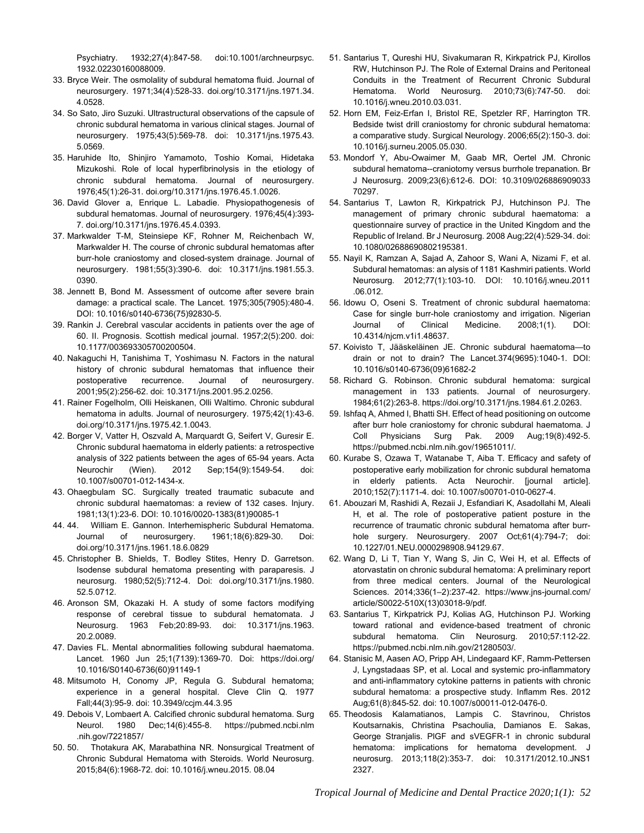Psychiatry. 1932;27(4):847-58. doi:10.1001/archneurpsyc. 1932.02230160088009.

- 33. Bryce Weir. The osmolality of subdural hematoma fluid. Journal of neurosurgery. 1971;34(4):528-33. doi.org/10.3171/jns.1971.34. 4.0528.
- 34. So Sato, Jiro Suzuki. Ultrastructural observations of the capsule of chronic subdural hematoma in various clinical stages. Journal of neurosurgery. 1975;43(5):569-78. doi: 10.3171/jns.1975.43. 5.0569.
- 35. Haruhide Ito, Shinjiro Yamamoto, Toshio Komai, Hidetaka Mizukoshi. Role of local hyperfibrinolysis in the etiology of chronic subdural hematoma. Journal of neurosurgery. 1976;45(1):26-31. doi.org/10.3171/jns.1976.45.1.0026.
- 36. David Glover a, Enrique L. Labadie. Physiopathogenesis of subdural hematomas. Journal of neurosurgery. 1976;45(4):393- 7. doi.org/10.3171/jns.1976.45.4.0393.
- 37. Markwalder T-M, Steinsiepe KF, Rohner M, Reichenbach W, Markwalder H. The course of chronic subdural hematomas after burr-hole craniostomy and closed-system drainage. Journal of neurosurgery. 1981;55(3):390-6. doi: 10.3171/jns.1981.55.3. 0390.
- 38. Jennett B, Bond M. Assessment of outcome after severe brain damage: a practical scale. The Lancet. 1975;305(7905):480-4. DOI: 10.1016/s0140-6736(75)92830-5.
- 39. Rankin J. Cerebral vascular accidents in patients over the age of 60. II. Prognosis. Scottish medical journal. 1957;2(5):200. doi: 10.1177/003693305700200504.
- 40. Nakaguchi H, Tanishima T, Yoshimasu N. Factors in the natural history of chronic subdural hematomas that influence their postoperative recurrence. Journal of neurosurgery. 2001;95(2):256-62. doi: 10.3171/jns.2001.95.2.0256.
- 41. Rainer Fogelholm, Olli Heiskanen, Olli Waltimo. Chronic subdural hematoma in adults. Journal of neurosurgery. 1975;42(1):43-6. doi.org/10.3171/jns.1975.42.1.0043.
- 42. Borger V, Vatter H, Oszvald A, Marquardt G, Seifert V, Guresir E. Chronic subdural haematoma in elderly patients: a retrospective analysis of 322 patients between the ages of 65-94 years. Acta Neurochir (Wien). 2012 Sep;154(9):1549-54. doi: 10.1007/s00701-012-1434-x.
- 43. Ohaegbulam SC. Surgically treated traumatic subacute and chronic subdural haematomas: a review of 132 cases. Injury. 1981;13(1):23-6. DOI: 10.1016/0020-1383(81)90085-1
- 44. 44. William E. Gannon. Interhemispheric Subdural Hematoma. Journal of neurosurgery. 1961;18(6):829-30. Doi: doi.org/10.3171/jns.1961.18.6.0829
- 45. Christopher B. Shields, T. Bodley Stites, Henry D. Garretson. Isodense subdural hematoma presenting with paraparesis. J neurosurg. 1980;52(5):712-4. Doi: doi.org/10.3171/jns.1980. 52.5.0712.
- 46. Aronson SM, Okazaki H. A study of some factors modifying response of cerebral tissue to subdural hematomata. J Neurosurg. 1963 Feb;20:89-93. doi: 10.3171/jns.1963. 20.2.0089.
- 47. Davies FL. Mental abnormalities following subdural haematoma. Lancet. 1960 Jun 25;1(7139):1369-70. Doi: https://doi.org/ 10.1016/S0140-6736(60)91149-1
- 48. Mitsumoto H, Conomy JP, Regula G. Subdural hematoma; experience in a general hospital. Cleve Clin Q. 1977 Fall;44(3):95-9. doi: 10.3949/ccjm.44.3.95
- 49. Debois V, Lombaert A. Calcified chronic subdural hematoma. Surg Neurol. 1980 Dec;14(6):455-8. https://pubmed.ncbi.nlm .nih.gov/7221857/
- 50. 50. Thotakura AK, Marabathina NR. Nonsurgical Treatment of Chronic Subdural Hematoma with Steroids. World Neurosurg. 2015;84(6):1968-72. doi: 10.1016/j.wneu.2015. 08.04
- 51. Santarius T, Qureshi HU, Sivakumaran R, Kirkpatrick PJ, Kirollos RW, Hutchinson PJ. The Role of External Drains and Peritoneal Conduits in the Treatment of Recurrent Chronic Subdural Hematoma. World Neurosurg. 2010;73(6):747-50. doi: 10.1016/j.wneu.2010.03.031.
- 52. Horn EM, Feiz-Erfan I, Bristol RE, Spetzler RF, Harrington TR. Bedside twist drill craniostomy for chronic subdural hematoma: a comparative study. Surgical Neurology. 2006;65(2):150-3. doi: 10.1016/j.surneu.2005.05.030.
- 53. Mondorf Y, Abu-Owaimer M, Gaab MR, Oertel JM. Chronic subdural hematoma--craniotomy versus burrhole trepanation. Br J Neurosurg. 2009;23(6):612-6. DOI: 10.3109/026886909033 70297.
- 54. Santarius T, Lawton R, Kirkpatrick PJ, Hutchinson PJ. The management of primary chronic subdural haematoma: a questionnaire survey of practice in the United Kingdom and the Republic of Ireland. Br J Neurosurg. 2008 Aug;22(4):529-34. doi: 10.1080/02688690802195381.
- 55. Nayil K, Ramzan A, Sajad A, Zahoor S, Wani A, Nizami F, et al. Subdural hematomas: an alysis of 1181 Kashmiri patients. World Neurosurg. 2012;77(1):103-10. DOI: 10.1016/j.wneu.2011 .06.012.
- 56. Idowu O, Oseni S. Treatment of chronic subdural haematoma: Case for single burr-hole craniostomy and irrigation. Nigerian Journal of Clinical Medicine. 2008;1(1). DOI: 10.4314/njcm.v1i1.48637.
- 57. Koivisto T, Jääskeläinen JE. Chronic subdural haematoma—to drain or not to drain? The Lancet.374(9695):1040-1. DOI: 10.1016/s0140-6736(09)61682-2
- 58. Richard G. Robinson. Chronic subdural hematoma: surgical management in 133 patients. Journal of neurosurgery. 1984;61(2):263-8. https://doi.org/10.3171/jns.1984.61.2.0263.
- 59. Ishfaq A, Ahmed I, Bhatti SH. Effect of head positioning on outcome after burr hole craniostomy for chronic subdural haematoma. J Coll Physicians Surg Pak. 2009 Aug;19(8):492-5. https://pubmed.ncbi.nlm.nih.gov/19651011/.
- 60. Kurabe S, Ozawa T, Watanabe T, Aiba T. Efficacy and safety of postoperative early mobilization for chronic subdural hematoma in elderly patients. Acta Neurochir. [journal article]. 2010;152(7):1171-4. doi: 10.1007/s00701-010-0627-4.
- 61. Abouzari M, Rashidi A, Rezaii J, Esfandiari K, Asadollahi M, Aleali H, et al. The role of postoperative patient posture in the recurrence of traumatic chronic subdural hematoma after burrhole surgery. Neurosurgery. 2007 Oct;61(4):794-7; doi: 10.1227/01.NEU.0000298908.94129.67.
- 62. Wang D, Li T, Tian Y, Wang S, Jin C, Wei H, et al. Effects of atorvastatin on chronic subdural hematoma: A preliminary report from three medical centers. Journal of the Neurological Sciences. 2014;336(1–2):237-42. https://www.jns-journal.com/ article/S0022-510X(13)03018-9/pdf.
- 63. Santarius T, Kirkpatrick PJ, Kolias AG, Hutchinson PJ. Working toward rational and evidence-based treatment of chronic subdural hematoma. Clin Neurosurg. 2010;57:112-22. https://pubmed.ncbi.nlm.nih.gov/21280503/.
- 64. Stanisic M, Aasen AO, Pripp AH, Lindegaard KF, Ramm-Pettersen J, Lyngstadaas SP, et al. Local and systemic pro-inflammatory and anti-inflammatory cytokine patterns in patients with chronic subdural hematoma: a prospective study. Inflamm Res. 2012 Aug;61(8):845-52. doi: 10.1007/s00011-012-0476-0.
- 65. Theodosis Kalamatianos, Lampis C. Stavrinou, Christos Koutsarnakis, Christina Psachoulia, Damianos E. Sakas, George Stranjalis. PlGF and sVEGFR-1 in chronic subdural hematoma: implications for hematoma development. J neurosurg. 2013;118(2):353-7. doi: 10.3171/2012.10.JNS1 2327.